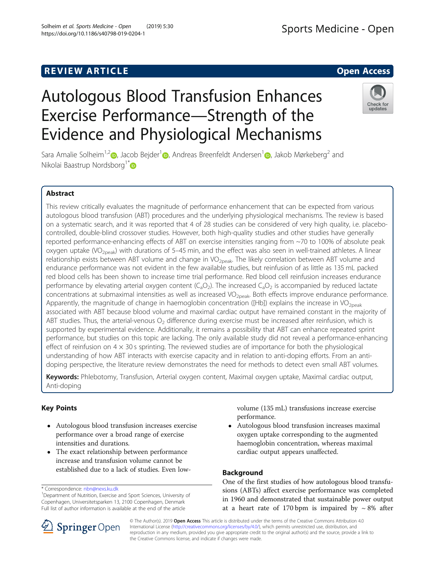# Autologous Blood Transfusion Enhances Exercise Performance—Strength of the Evidence and Physiological Mechanisms



Sara Amalie Solheim<sup>1,[2](http://orcid.org/0000-0002-4589-1711)</sup> , Jacob Bejder<sup>[1](http://orcid.org/0000-0002-9698-9188)</sup> [,](http://orcid.org/0000-0003-3361-3009) Andreas Breenfeldt Andersen<sup>1</sup> , Jakob Mørkeberg<sup>2</sup> and Nikolai Baastrup Nordsborg<sup>1\*</sup>

# Abstract

This review critically evaluates the magnitude of performance enhancement that can be expected from various autologous blood transfusion (ABT) procedures and the underlying physiological mechanisms. The review is based on a systematic search, and it was reported that 4 of 28 studies can be considered of very high quality, i.e. placebocontrolled, double-blind crossover studies. However, both high-quality studies and other studies have generally reported performance-enhancing effects of ABT on exercise intensities ranging from ~70 to 100% of absolute peak oxygen uptake (VO<sub>2peak</sub>) with durations of 5–45 min, and the effect was also seen in well-trained athletes. A linear relationship exists between ABT volume and change in VO<sub>2peak</sub>. The likely correlation between ABT volume and endurance performance was not evident in the few available studies, but reinfusion of as little as 135 mL packed red blood cells has been shown to increase time trial performance. Red blood cell reinfusion increases endurance performance by elevating arterial oxygen content  $(C_aO_2)$ . The increased  $C_aO_2$  is accompanied by reduced lactate concentrations at submaximal intensities as well as increased VO<sub>2peak</sub>. Both effects improve endurance performance. Apparently, the magnitude of change in haemoglobin concentration ( $[Hb]$ ) explains the increase in VO<sub>2peak</sub> associated with ABT because blood volume and maximal cardiac output have remained constant in the majority of ABT studies. Thus, the arterial-venous  $O_2$  difference during exercise must be increased after reinfusion, which is supported by experimental evidence. Additionally, it remains a possibility that ABT can enhance repeated sprint performance, but studies on this topic are lacking. The only available study did not reveal a performance-enhancing effect of reinfusion on  $4 \times 30$  s sprinting. The reviewed studies are of importance for both the physiological understanding of how ABT interacts with exercise capacity and in relation to anti-doping efforts. From an antidoping perspective, the literature review demonstrates the need for methods to detect even small ABT volumes.

Keywords: Phlebotomy, Transfusion, Arterial oxygen content, Maximal oxygen uptake, Maximal cardiac output, Anti-doping

# Key Points

- Autologous blood transfusion increases exercise performance over a broad range of exercise intensities and durations.
- The exact relationship between performance increase and transfusion volume cannot be established due to a lack of studies. Even low-

\* Correspondence: [nbn@nexs.ku.dk](mailto:nbn@nexs.ku.dk) <sup>1</sup>

<sup>1</sup>Department of Nutrition, Exercise and Sport Sciences, University of Copenhagen, Universitetsparken 13, 2100 Copenhagen, Denmark Full list of author information is available at the end of the article



 Autologous blood transfusion increases maximal oxygen uptake corresponding to the augmented haemoglobin concentration, whereas maximal cardiac output appears unaffected.

# Background

One of the first studies of how autologous blood transfusions (ABTs) affect exercise performance was completed in 1960 and demonstrated that sustainable power output at a heart rate of 170 bpm is impaired by  $\sim 8\%$  after



© The Author(s). 2019 Open Access This article is distributed under the terms of the Creative Commons Attribution 4.0 International License ([http://creativecommons.org/licenses/by/4.0/\)](http://creativecommons.org/licenses/by/4.0/), which permits unrestricted use, distribution, and reproduction in any medium, provided you give appropriate credit to the original author(s) and the source, provide a link to the Creative Commons license, and indicate if changes were made.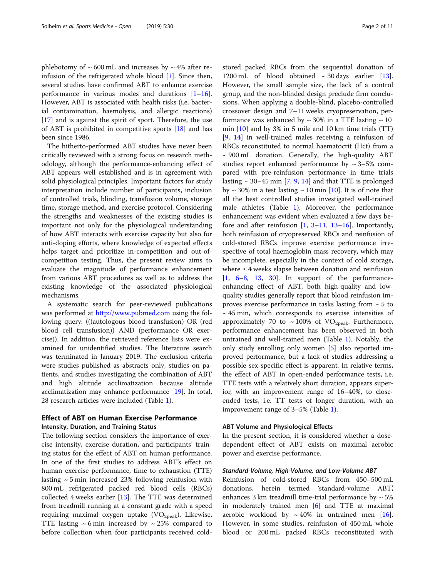phlebotomy of  $\sim 600$  mL and increases by  $\sim 4\%$  after reinfusion of the refrigerated whole blood [[1\]](#page-8-0). Since then, several studies have confirmed ABT to enhance exercise performance in various modes and durations  $[1-16]$  $[1-16]$  $[1-16]$  $[1-16]$  $[1-16]$ . However, ABT is associated with health risks (i.e. bacterial contamination, haemolysis, and allergic reactions) [[17\]](#page-9-0) and is against the spirit of sport. Therefore, the use of ABT is prohibited in competitive sports [[18](#page-9-0)] and has been since 1986.

The hitherto-performed ABT studies have never been critically reviewed with a strong focus on research methodology, although the performance-enhancing effect of ABT appears well established and is in agreement with solid physiological principles. Important factors for study interpretation include number of participants, inclusion of controlled trials, blinding, transfusion volume, storage time, storage method, and exercise protocol. Considering the strengths and weaknesses of the existing studies is important not only for the physiological understanding of how ABT interacts with exercise capacity but also for anti-doping efforts, where knowledge of expected effects helps target and prioritize in-competition and out-ofcompetition testing. Thus, the present review aims to evaluate the magnitude of performance enhancement from various ABT procedures as well as to address the existing knowledge of the associated physiological mechanisms.

A systematic search for peer-reviewed publications was performed at <http://www.pubmed.com> using the following query: (((autologous blood transfusion) OR (red blood cell transfusion)) AND (performance OR exercise)). In addition, the retrieved reference lists were examined for unidentified studies. The literature search was terminated in January 2019. The exclusion criteria were studies published as abstracts only, studies on patients, and studies investigating the combination of ABT and high altitude acclimatization because altitude acclimatization may enhance performance [[19\]](#page-9-0). In total, 28 research articles were included (Table [1\)](#page-2-0).

# Effect of ABT on Human Exercise Performance Intensity, Duration, and Training Status

The following section considers the importance of exercise intensity, exercise duration, and participants' training status for the effect of ABT on human performance. In one of the first studies to address ABT's effect on human exercise performance, time to exhaustion (TTE) lasting  $\sim$  5 min increased 23% following reinfusion with 800 mL refrigerated packed red blood cells (RBCs) collected 4 weeks earlier [\[13](#page-9-0)]. The TTE was determined from treadmill running at a constant grade with a speed requiring maximal oxygen uptake  $(\text{VO}_{2\text{peak}})$ . Likewise, TTE lasting  $\sim$  6 min increased by  $\sim$  25% compared to before collection when four participants received coldstored packed RBCs from the sequential donation of 1200 mL of blood obtained  $\sim$  30 days earlier [\[13](#page-9-0)]. However, the small sample size, the lack of a control group, and the non-blinded design preclude firm conclusions. When applying a double-blind, placebo-controlled crossover design and 7–11 weeks cryopreservation, performance was enhanced by  $\sim$  30% in a TTE lasting  $\sim$  10 min  $[10]$  and by 3% in 5 mile and 10 km time trials  $(TT)$ [[9,](#page-9-0) [14\]](#page-9-0) in well-trained males receiving a reinfusion of RBCs reconstituted to normal haematocrit (Hct) from a  $\sim$  900 mL donation. Generally, the high-quality ABT studies report enhanced performance by  $\sim$  3–5% compared with pre-reinfusion performance in time trials lasting  $\sim$  30–45 min [\[7](#page-8-0), [9,](#page-9-0) [14\]](#page-9-0) and that TTE is prolonged by  $\sim$  30% in a test lasting  $\sim$  10 min [\[10](#page-9-0)]. It is of note that all the best controlled studies investigated well-trained male athletes (Table [1](#page-2-0)). Moreover, the performance enhancement was evident when evaluated a few days before and after reinfusion [[1,](#page-8-0) [3](#page-8-0)–[11,](#page-9-0) [13](#page-9-0)–[16](#page-9-0)]. Importantly, both reinfusion of cryopreserved RBCs and reinfusion of cold-stored RBCs improve exercise performance irrespective of total haemoglobin mass recovery, which may be incomplete, especially in the context of cold storage, where ≤ 4 weeks elapse between donation and reinfusion [[1,](#page-8-0) [6](#page-8-0)–[8](#page-9-0), [13](#page-9-0), [30\]](#page-9-0). In support of the performanceenhancing effect of ABT, both high-quality and lowquality studies generally report that blood reinfusion improves exercise performance in tasks lasting from  $\sim$  5 to  $\sim$  45 min, which corresponds to exercise intensities of approximately 70 to  $\sim$  100% of VO<sub>2peak</sub>. Furthermore, performance enhancement has been observed in both untrained and well-trained men (Table [1\)](#page-2-0). Notably, the only study enrolling only women [[5\]](#page-8-0) also reported improved performance, but a lack of studies addressing a possible sex-specific effect is apparent. In relative terms, the effect of ABT in open-ended performance tests, i.e. TTE tests with a relatively short duration, appears superior, with an improvement range of 16–40%, to closeended tests, i.e. TT tests of longer duration, with an improvement range of 3–5% (Table [1\)](#page-2-0).

# ABT Volume and Physiological Effects

In the present section, it is considered whether a dosedependent effect of ABT exists on maximal aerobic power and exercise performance.

# Standard-Volume, High-Volume, and Low-Volume ABT

Reinfusion of cold-stored RBCs from 450–500 mL donations, herein termed 'standard-volume ABT', enhances 3 km treadmill time-trial performance by  $\sim 5\%$ in moderately trained men [\[6\]](#page-8-0) and TTE at maximal aerobic workload by  $\sim 40\%$  in untrained men [\[16](#page-9-0)]. However, in some studies, reinfusion of 450 mL whole blood or 200 mL packed RBCs reconstituted with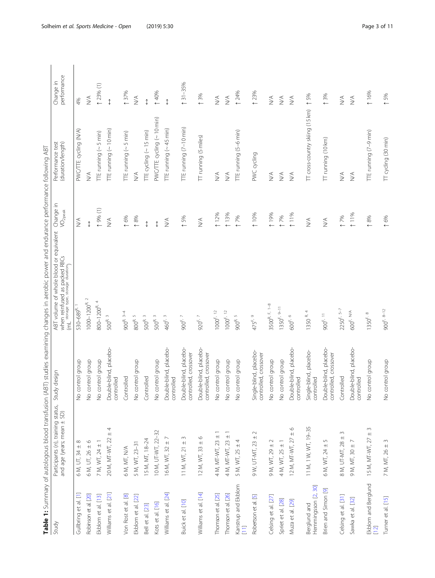| I<br>j<br>ì                                                                                     |  |
|-------------------------------------------------------------------------------------------------|--|
| $\mathbf{r}$                                                                                    |  |
| j<br>۱                                                                                          |  |
| I<br>l<br>į<br>$\ddot{\phantom{a}}$                                                             |  |
| $\frac{1}{2}$<br>İ<br>ļ<br>j                                                                    |  |
| ١<br>ł<br>į<br>l<br>١<br>i<br>j<br>I                                                            |  |
| i<br>١<br>I                                                                                     |  |
| 1<br>$\overline{\phantom{a}}$<br>í<br>İ<br>Ï                                                    |  |
| I<br>J<br>l<br>)<br>Í<br>j<br>l<br>l<br>j                                                       |  |
| 3<br>l<br>l<br>j<br>j<br>$\overline{)}$<br>ļ                                                    |  |
| ĉ<br>3<br>ׇ֚֓<br>l<br>J<br>l<br>j<br>١<br>١<br>ļ                                                |  |
| !<br>$\overline{\phantom{a}}$<br>į<br>İ<br>i<br>İ                                               |  |
| ì<br>ł<br>Ī<br>j<br>j                                                                           |  |
| l<br>i<br>$\overline{ }$                                                                        |  |
| $\overline{\mathbf{r}}$<br>١<br>١<br>5                                                          |  |
| ١<br>ļ<br>֚֘֝<br>j<br>֚֬֕֓֡֡֡֡֡<br>ł<br>١                                                       |  |
| $\overline{\phantom{a}}$<br>١<br>$\overline{\mathcal{L}}$<br>$\overline{ }$<br>ł<br>١<br>ř<br>: |  |
| i<br>ì                                                                                          |  |
| ļ                                                                                               |  |
| ֡֡<br>֕<br>I                                                                                    |  |
|                                                                                                 |  |
| í                                                                                               |  |

<span id="page-2-0"></span>

|                                     |                                                                  |                                                 | Table 1: Summary of autologous blood transfusion (ABT) studies examining changes in aerobic power and endurance performance following ABT |                              |                                       |                                  |
|-------------------------------------|------------------------------------------------------------------|-------------------------------------------------|-------------------------------------------------------------------------------------------------------------------------------------------|------------------------------|---------------------------------------|----------------------------------|
| Study                               | Participants (n), training status,<br>and age (years; mean ± SD) | Study design                                    | ABT volume of whole blood or equivalent Change in<br>when reinfused as packed RBCs<br>(mL storage type, storage duration)                 | VO <sub>2peak</sub>          | Performance test<br>(duration/length) | performance<br>Change in         |
| Gullbring et al. [1]                | $6 M, UT, 34 \pm 8$                                              | No control group                                | 530-689 <sup>R, 1</sup>                                                                                                                   | $\lessgtr$                   | PWC/TTE cycling (N/A)                 | 4%                               |
| Robinson et al. [20]                | $6 M, UT, 26 \pm 6$                                              | No control group                                | $1000 - 1200$ <sup>R, 2</sup>                                                                                                             | $\updownarrow$               | $\stackrel{\triangleleft}{\geq}$      | $\lessgtr$                       |
| Ekblom et al. [13]                  | 7 M, WT, 24 $\pm$ 1                                              | No control group                                | 800-1200 <sup>R, 4</sup>                                                                                                                  | $(1)$ %6 $(1)$               | ITE running (~5 min)                  | $(1)$ % (1)                      |
| Williams et al. [21]                | 4<br>20 M, MT-WT, 22 ±                                           | Double-blind, placebo-<br>controlled            | $500^{R.3}$                                                                                                                               | $\stackrel{\triangle}{\geq}$ | ITE running (~10 min)                 | $\updownarrow$                   |
| Von Rost et al. [8]                 | 6 M, MT, N/A                                                     | Controlled                                      | $900^{R, 3-4}$                                                                                                                            | 16%                          | $\Pi$ E running (~ 5 min)             | 137%                             |
| Ekblom et al. [22]                  | 5 M, WT, 23-31                                                   | No control group                                | $800^{\mathrm{R}}$ $^5$                                                                                                                   | $\uparrow$ 8%                | $\frac{1}{2}$                         | $\lessgtr$                       |
| Bell et al. [23]                    | IS M, MT, 18-24                                                  | Controlled                                      | $500^{R.3}$                                                                                                                               | $\updownarrow$               | TTE cycling (~15 min)                 | $\updownarrow$                   |
| Kots et al. [16]                    | 10 M, UT-WT, 22-32                                               | No control group                                | $500^{R.3}$                                                                                                                               | $\updownarrow$               | PWC/TTE cycling (~10 min)             | 140%                             |
| Williams et al. [24]                | 16 M, WT, 32 ±                                                   | Double-blind, placebo-<br>controlled            | 460 <sup>F, 3</sup>                                                                                                                       | $\stackrel{\triangle}{\geq}$ | ITE running (~45 min)                 | $\updownarrow$                   |
| Buick et al. [10]                   | $\sim$<br>11 M, WT, 21 $\pm$                                     | Double-blind, placebo-<br>controlled, crossover | 900 <sup>F, 7</sup>                                                                                                                       | 15%                          | TTE running (7-10 min)                | $131 - 35%$                      |
| Williams et al. [14]                | $\circ$<br>12 M, WT, 33 ±                                        | Double-blind, placebo-<br>controlled, crossover | 920 <sup>F, 7</sup>                                                                                                                       | $\lessgtr$                   | TT running (5 miles)                  | ↑ 3%                             |
| Thomson et al. [25]                 | 4 M, MT-WT, 23 ±                                                 | No control group                                | $1000^{F, 12}$                                                                                                                            | 12%                          | $\stackrel{\leq}{\geq}$               | $\stackrel{\triangleleft}{\geq}$ |
| Thomson et al. [26]                 | $\bf +$<br>4 M, MT-WT, 23                                        | No control group                                | $1000^{F, 12}$                                                                                                                            | 13%                          | $\lesssim$                            | $\lessgtr$                       |
| Kanstrup and Ekblom<br>$\Box$       | 5 M, WT, 25 ± 4                                                  | No control group                                | 900R.5                                                                                                                                    | 17%                          | ITE running (5-6 min)                 | 124%                             |
| Robertson et al. [5]                | $\sim$<br>9 W, UT-MT, 23 ±                                       | Single-blind, placebo-<br>controlled, crossover | 475 <sup>F, 9</sup>                                                                                                                       | 10%                          | PWC cycling                           | 123%                             |
| Celsing et al. [27]                 | 9 M, WT, 29 ± 2                                                  | No control group                                | $3500^{R, F, 1-8}$                                                                                                                        | 19%                          | $\stackrel{\triangleleft}{\geq}$      | $\lessgtr$                       |
| Spriet et al. [28]                  | 4 M, WT, $25 \pm 1$                                              | No control group                                | $1350^{F, 9-11}$                                                                                                                          | 17%                          | $\stackrel{\triangleleft}{\geq}$      | $\stackrel{\triangleleft}{\geq}$ |
| Muza et al. [29]                    | $\circ$<br>12 M, MT-WT, 27 ±                                     | Double-blind, placebo-<br>controlled            | 600 <sup>F, 6</sup>                                                                                                                       | 111%                         | $\frac{1}{2}$                         | $\lessgtr$                       |
| Hemmingsson [2, 30]<br>Berglund and | 11 M, 1 W, WT, 19-35                                             | Single-blind, placebo-<br>controlled            | 1350 R. 4                                                                                                                                 | $\lessgtr$                   | TT cross-country skiing (15 km)       | $\uparrow$ 5%                    |
| Brien and Simon [9]                 | $\mathsf{L}\cap$<br>6 M, WT, 24 ±                                | Double-blind, placebo-<br>controlled, crossover | 900 <sup>F, 11</sup>                                                                                                                      | $\lessgtr$                   | IT running (10 km)                    | 13%                              |
| Celsing et al. [31]                 | $\sim$<br>8 M, UT-MT, 28 ±                                       | Controlled                                      | $2250^{F, 5-7}$                                                                                                                           | 17%                          | $\stackrel{\triangleleft}{\geq}$      | $\lessgtr$                       |
| Sawka et al. [32]                   | $9 M, MT, 30 \pm 7$                                              | Double-blind, placebo-<br>controlled            | 600 <sup>F, N/A</sup>                                                                                                                     | 11%                          | $\leq$                                | $\lessgtr$                       |
| Ekblom and Berglund<br>$[12]$       | $\sim$<br>15 M, MT-WT, 27 ±                                      | No control group                                | $1350^{F.8}$                                                                                                                              | $\uparrow$ 8%                | TTE running (7-9 min)                 | 16%                              |
| Turner et al. [15]                  | 7 M, MT, 26 ± 3                                                  | No control group                                | $900^{F, 8-12}$                                                                                                                           | 16%                          | TT cycling (30 min)                   | $\uparrow$ 5%                    |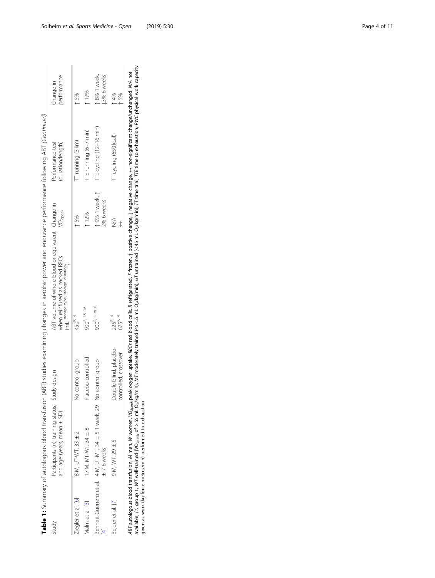|                    |                                                                                    |                                                 | Table 1: Summary of autologous blood transfusion (ABT) studies examining changes in aerobic power and endurance performance following ABT (Continued)                                                                                                                                                                               |                              |                                      |                             |
|--------------------|------------------------------------------------------------------------------------|-------------------------------------------------|-------------------------------------------------------------------------------------------------------------------------------------------------------------------------------------------------------------------------------------------------------------------------------------------------------------------------------------|------------------------------|--------------------------------------|-----------------------------|
| Study              | Participants (n), training status, Study design<br>and age (years; mean $\pm$ SD)  |                                                 | ABT volume of whole blood or equivalent Change in<br>when reinfused as packed RBCs<br>(m) storage type, storage duration                                                                                                                                                                                                            | $\sqrt{O_{2\text{peak}}}$    | duration/length)<br>Performance test | performance<br>Change in    |
| Ziegler et al. [6] | 8 M, UT-WT, 33 ± 2                                                                 | No control group                                | $450^{R, 4}$                                                                                                                                                                                                                                                                                                                        | $*5%$                        | TT running (3 km)                    | ↑ 5%                        |
| Malm et al. [3]    | ∞<br>17 M, MT-WT, 34 ±                                                             | Placebo-controlled                              | 900 <sup>F, 15-16</sup>                                                                                                                                                                                                                                                                                                             | 12%                          | TTE running (6–7 min)                | $-17%$                      |
|                    | Bennett-Guerrero et al. 4 M, UT-MT, 34 ± 5 1 week, 29 No control group<br>±76weeks |                                                 | 900 <sup>R, 1 or 6</sup>                                                                                                                                                                                                                                                                                                            | t 9% 1 week, t<br>2% 6 weeks | TTE cycling (12-16 min)              | h 8% 1 week,<br>13% 6 weeks |
| Bejder et al. [7]  | $9 M, W T, 29 + 5$                                                                 | Double-blind, placebo-<br>controlled, crossover | $225^{R.4}$<br>675 <sup>R, 4</sup>                                                                                                                                                                                                                                                                                                  | $\leq$<br>↥                  | TT cycling (650 kcal)                | $-4%$<br>- 5%               |
|                    |                                                                                    |                                                 | 1990年,1990年,1990年,1990年4月12日,1990年,1990年,1990年,1990年,1990年,1990年,1990年,1990年,1990年,1990年,1990年,1990年 1990年,1990年,1990年<br>ABT autologous blood transfusion, M women, Wo <sub>neak</sub> peak oxygen uptake, RBCs red blood cells, R refrigerated, F frozen, 1 positive change, 1 negative change, a non-significant changed, WA not |                              |                                      |                             |

ABT autologous blood transfusion, M men, W women, VO<sub>zeek</sub> peak oxygen uptake, RBCs red blood cells, R refrigerated, F frozen, 1 positive change, ↓ negative change, ↔ non-significant change/unchanged, WA not<br>available, (1) available, (1) group 1, WT well-trained (VO<sub>2peak</sub> of > 55 mL O<sub>2</sub>/kg/min), MT moderately trained (45–55 mL O2/kg/min), MT untrained (< 45 mL O2/kg/min), TT time trial, TTE time to exhaustion, PWC physical work capacity given as work (kg-force metres/min) performed to exhaustion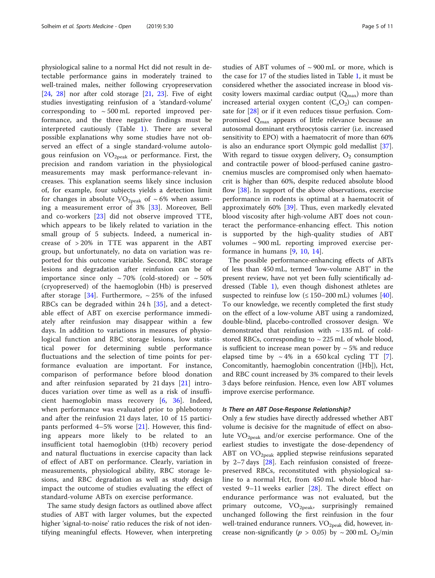physiological saline to a normal Hct did not result in detectable performance gains in moderately trained to well-trained males, neither following cryopreservation  $[24, 28]$  $[24, 28]$  $[24, 28]$  $[24, 28]$  nor after cold storage  $[21, 23]$  $[21, 23]$  $[21, 23]$  $[21, 23]$ . Five of eight studies investigating reinfusion of a 'standard-volume' corresponding to  $\sim$  500 mL reported improved performance, and the three negative findings must be interpreted cautiously (Table [1\)](#page-2-0). There are several possible explanations why some studies have not observed an effect of a single standard-volume autologous reinfusion on  $VO<sub>2peak</sub>$  or performance. First, the precision and random variation in the physiological measurements may mask performance-relevant increases. This explanation seems likely since inclusion of, for example, four subjects yields a detection limit for changes in absolute  $VO<sub>2peak</sub>$  of ~6% when assuming a measurement error of 3% [[33\]](#page-9-0). Moreover, Bell and co-workers [[23\]](#page-9-0) did not observe improved TTE, which appears to be likely related to variation in the small group of 5 subjects. Indeed, a numerical increase of > 20% in TTE was apparent in the ABT group, but unfortunately, no data on variation was reported for this outcome variable. Second, RBC storage lesions and degradation after reinfusion can be of importance since only  $\sim 70\%$  (cold-stored) or  $\sim 50\%$ (cryopreserved) of the haemoglobin (Hb) is preserved after storage [[34\]](#page-9-0). Furthermore,  $\sim$  25% of the infused RBCs can be degraded within 24 h [[35\]](#page-9-0), and a detectable effect of ABT on exercise performance immediately after reinfusion may disappear within a few days. In addition to variations in measures of physiological function and RBC storage lesions, low statistical power for determining subtle performance fluctuations and the selection of time points for performance evaluation are important. For instance, comparison of performance before blood donation and after reinfusion separated by 21 days [[21\]](#page-9-0) introduces variation over time as well as a risk of insufficient haemoglobin mass recovery [[6,](#page-8-0) [36\]](#page-9-0). Indeed, when performance was evaluated prior to phlebotomy and after the reinfusion 21 days later, 10 of 15 participants performed 4–5% worse [\[21](#page-9-0)]. However, this finding appears more likely to be related to an insufficient total haemoglobin (tHb) recovery period and natural fluctuations in exercise capacity than lack of effect of ABT on performance. Clearly, variation in measurements, physiological ability, RBC storage lesions, and RBC degradation as well as study design impact the outcome of studies evaluating the effect of standard-volume ABTs on exercise performance.

The same study design factors as outlined above affect studies of ABT with larger volumes, but the expected higher 'signal-to-noise' ratio reduces the risk of not identifying meaningful effects. However, when interpreting studies of ABT volumes of  $\sim$  900 mL or more, which is the case for 17 of the studies listed in Table [1,](#page-2-0) it must be considered whether the associated increase in blood viscosity lowers maximal cardiac output  $(Q<sub>max</sub>)$  more than increased arterial oxygen content  $(C_aO_2)$  can compensate for [[28\]](#page-9-0) or if it even reduces tissue perfusion. Compromised  $Q_{\text{max}}$  appears of little relevance because an autosomal dominant erythrocytosis carrier (i.e. increased sensitivity to EPO) with a haematocrit of more than 60% is also an endurance sport Olympic gold medallist [\[37](#page-9-0)]. With regard to tissue oxygen delivery,  $O_2$  consumption and contractile power of blood-perfused canine gastrocnemius muscles are compromised only when haematocrit is higher than 60%, despite reduced absolute blood flow  $[38]$  $[38]$ . In support of the above observations, exercise performance in rodents is optimal at a haematocrit of approximately 60% [\[39](#page-9-0)]. Thus, even markedly elevated blood viscosity after high-volume ABT does not counteract the performance-enhancing effect. This notion is supported by the high-quality studies of ABT volumes  $\sim$  900 mL reporting improved exercise performance in humans [[9](#page-9-0), [10](#page-9-0), [14](#page-9-0)].

The possible performance-enhancing effects of ABTs of less than 450 mL, termed 'low-volume ABT' in the present review, have not yet been fully scientifically addressed (Table [1](#page-2-0)), even though dishonest athletes are suspected to reinfuse low  $( \leq 150 - 200 \text{ mL} )$  volumes [\[40](#page-9-0)]. To our knowledge, we recently completed the first study on the effect of a low-volume ABT using a randomized, double-blind, placebo-controlled crossover design. We demonstrated that reinfusion with  $\sim$  135 mL of coldstored RBCs, corresponding to  $\sim$  225 mL of whole blood, is sufficient to increase mean power by  $\sim$  5% and reduce elapsed time by  $\sim 4\%$  in a 650 kcal cycling TT [\[7](#page-8-0)]. Concomitantly, haemoglobin concentration ([Hb]), Hct, and RBC count increased by 3% compared to their levels 3 days before reinfusion. Hence, even low ABT volumes improve exercise performance.

## Is There an ABT Dose-Response Relationship?

Only a few studies have directly addressed whether ABT volume is decisive for the magnitude of effect on absolute  $VO<sub>2peak</sub>$  and/or exercise performance. One of the earliest studies to investigate the dose-dependency of ABT on  $VO_{2\text{peak}}$  applied stepwise reinfusions separated by 2–7 days [\[28](#page-9-0)]. Each reinfusion consisted of freezepreserved RBCs, reconstituted with physiological saline to a normal Hct, from 450 mL whole blood harvested 9–11 weeks earlier [[28\]](#page-9-0). The direct effect on endurance performance was not evaluated, but the primary outcome,  $VO_{2peak}$ , surprisingly remained unchanged following the first reinfusion in the four well-trained endurance runners.  $VO_{2\text{peak}}$  did, however, increase non-significantly ( $p > 0.05$ ) by  $\sim 200$  mL O<sub>2</sub>/min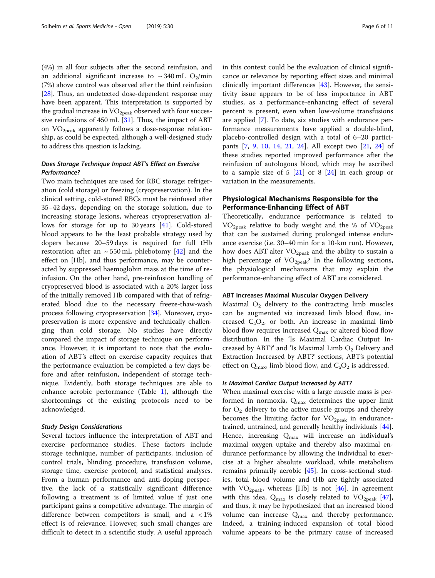(4%) in all four subjects after the second reinfusion, and an additional significant increase to  $\sim$  340 mL O<sub>2</sub>/min (7%) above control was observed after the third reinfusion [[28](#page-9-0)]. Thus, an undetected dose-dependent response may have been apparent. This interpretation is supported by the gradual increase in  $VO<sub>2peak</sub>$  observed with four successive reinfusions of  $450$  mL  $[31]$  $[31]$  $[31]$ . Thus, the impact of ABT on  $VO<sub>2peak</sub>$  apparently follows a dose-response relationship, as could be expected, although a well-designed study to address this question is lacking.

# Does Storage Technique Impact ABT's Effect on Exercise Performance?

Two main techniques are used for RBC storage: refrigeration (cold storage) or freezing (cryopreservation). In the clinical setting, cold-stored RBCs must be reinfused after 35–42 days, depending on the storage solution, due to increasing storage lesions, whereas cryopreservation allows for storage for up to 30 years [\[41](#page-9-0)]. Cold-stored blood appears to be the least probable strategy used by dopers because 20–59 days is required for full tHb restoration after an  $\sim$  550 mL phlebotomy [\[42\]](#page-9-0) and the effect on [Hb], and thus performance, may be counteracted by suppressed haemoglobin mass at the time of reinfusion. On the other hand, pre-reinfusion handling of cryopreserved blood is associated with a 20% larger loss of the initially removed Hb compared with that of refrigerated blood due to the necessary freeze-thaw-wash process following cryopreservation [\[34\]](#page-9-0). Moreover, cryopreservation is more expensive and technically challenging than cold storage. No studies have directly compared the impact of storage technique on performance. However, it is important to note that the evaluation of ABT's effect on exercise capacity requires that the performance evaluation be completed a few days before and after reinfusion, independent of storage technique. Evidently, both storage techniques are able to enhance aerobic performance (Table [1](#page-2-0)), although the shortcomings of the existing protocols need to be acknowledged.

# Study Design Considerations

Several factors influence the interpretation of ABT and exercise performance studies. These factors include storage technique, number of participants, inclusion of control trials, blinding procedure, transfusion volume, storage time, exercise protocol, and statistical analyses. From a human performance and anti-doping perspective, the lack of a statistically significant difference following a treatment is of limited value if just one participant gains a competitive advantage. The margin of difference between competitors is small, and a  $\langle 1\% \rangle$ effect is of relevance. However, such small changes are difficult to detect in a scientific study. A useful approach in this context could be the evaluation of clinical significance or relevance by reporting effect sizes and minimal clinically important differences [[43\]](#page-9-0). However, the sensitivity issue appears to be of less importance in ABT studies, as a performance-enhancing effect of several percent is present, even when low-volume transfusions are applied [[7\]](#page-8-0). To date, six studies with endurance performance measurements have applied a double-blind, placebo-controlled design with a total of 6–20 participants [\[7](#page-8-0), [9,](#page-9-0) [10](#page-9-0), [14,](#page-9-0) [21](#page-9-0), [24\]](#page-9-0). All except two [[21](#page-9-0), [24\]](#page-9-0) of these studies reported improved performance after the reinfusion of autologous blood, which may be ascribed to a sample size of  $5 \; [21]$  $5 \; [21]$  $5 \; [21]$  or  $8 \; [24]$  $8 \; [24]$  in each group or variation in the measurements.

# Physiological Mechanisms Responsible for the Performance-Enhancing Effect of ABT

Theoretically, endurance performance is related to  $VO<sub>2peak</sub>$  relative to body weight and the % of  $VO<sub>2peak</sub>$ that can be sustained during prolonged intense endurance exercise (i.e. 30–40 min for a 10-km run). However, how does ABT alter  $VO_{2n eak}$  and the ability to sustain a high percentage of  $VO<sub>2peak</sub>$ ? In the following sections, the physiological mechanisms that may explain the performance-enhancing effect of ABT are considered.

# ABT Increases Maximal Muscular Oxygen Delivery

Maximal  $O<sub>2</sub>$  delivery to the contracting limb muscles can be augmented via increased limb blood flow, increased  $C_aO_2$ , or both. An increase in maximal limb blood flow requires increased  $Q_{\text{max}}$  or altered blood flow distribution. In the 'Is Maximal Cardiac Output Increased by ABT?' and 'Is Maximal Limb  $O<sub>2</sub>$  Delivery and Extraction Increased by ABT?' sections, ABT's potential effect on  $Q_{\text{max}}$ , limb blood flow, and  $C_aO_2$  is addressed.

# Is Maximal Cardiac Output Increased by ABT?

When maximal exercise with a large muscle mass is performed in normoxia,  $Q_{\text{max}}$  determines the upper limit for  $O_2$  delivery to the active muscle groups and thereby becomes the limiting factor for  $VO_{2peak}$  in endurancetrained, untrained, and generally healthy individuals [\[44](#page-9-0)]. Hence, increasing  $Q_{\text{max}}$  will increase an individual's maximal oxygen uptake and thereby also maximal endurance performance by allowing the individual to exercise at a higher absolute workload, while metabolism remains primarily aerobic [\[45](#page-9-0)]. In cross-sectional studies, total blood volume and tHb are tightly associated with  $VO_{2peak}$ , whereas [Hb] is not [[46\]](#page-9-0). In agreement with this idea,  $Q_{\text{max}}$  is closely related to  $VO_{\text{2peak}}$  [\[47](#page-9-0)], and thus, it may be hypothesized that an increased blood volume can increase  $Q_{\text{max}}$  and thereby performance. Indeed, a training-induced expansion of total blood volume appears to be the primary cause of increased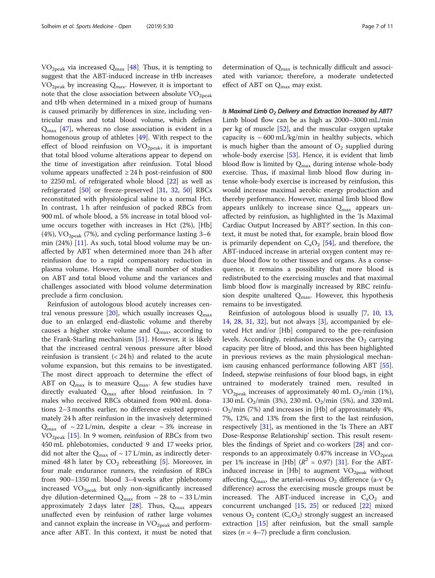$VO<sub>2peak</sub>$  via increased  $Q<sub>max</sub>$  [\[48](#page-9-0)]. Thus, it is tempting to suggest that the ABT-induced increase in tHb increases  $VO<sub>2peak</sub>$  by increasing  $Q<sub>max</sub>$ . However, it is important to note that the close association between absolute  $VO<sub>2peak</sub>$ and tHb when determined in a mixed group of humans is caused primarily by differences in size, including ventricular mass and total blood volume, which defines  $Q_{\text{max}}$  [[47\]](#page-9-0), whereas no close association is evident in a homogenous group of athletes [[49\]](#page-9-0). With respect to the effect of blood reinfusion on  $VO_{2\text{peak}}$ , it is important that total blood volume alterations appear to depend on the time of investigation after reinfusion. Total blood volume appears unaffected  $\geq$  24 h post-reinfusion of 800 to 2250 mL of refrigerated whole blood [[22\]](#page-9-0) as well as refrigerated [[50](#page-9-0)] or freeze-preserved [\[31](#page-9-0), [32,](#page-9-0) [50](#page-9-0)] RBCs reconstituted with physiological saline to a normal Hct. In contrast, 1 h after reinfusion of packed RBCs from 900 mL of whole blood, a 5% increase in total blood volume occurs together with increases in Hct (2%), [Hb] (4%),  $\rm VO_{2peak}$  (7%), and cycling performance lasting 3–6 min (24%) [\[11](#page-9-0)]. As such, total blood volume may be unaffected by ABT when determined more than 24 h after reinfusion due to a rapid compensatory reduction in plasma volume. However, the small number of studies on ABT and total blood volume and the variances and challenges associated with blood volume determination preclude a firm conclusion.

Reinfusion of autologous blood acutely increases cen-tral venous pressure [[20](#page-9-0)], which usually increases  $Q_{\text{max}}$ due to an enlarged end-diastolic volume and thereby causes a higher stroke volume and  $Q_{\text{max}}$ , according to the Frank-Starling mechanism [[51\]](#page-9-0). However, it is likely that the increased central venous pressure after blood reinfusion is transient  $( $24 \text{ h}$ )$  and related to the acute volume expansion, but this remains to be investigated. The most direct approach to determine the effect of ABT on  $Q_{\text{max}}$  is to measure  $Q_{\text{max}}$ . A few studies have directly evaluated Q<sub>max</sub> after blood reinfusion. In 7 males who received RBCs obtained from 900 mL donations 2–3 months earlier, no difference existed approximately 24 h after reinfusion in the invasively determined  $Q_{\text{max}}$  of ~ 22 L/min, despite a clear ~ 3% increase in  $VO<sub>2peak</sub>$  [[15](#page-9-0)]. In 9 women, reinfusion of RBCs from two 450 mL phlebotomies, conducted 9 and 17 weeks prior, did not alter the  $Q_{\text{max}}$  of ~ 17 L/min, as indirectly determined 48 h later by  $CO<sub>2</sub>$  rebreathing [[5\]](#page-8-0). Moreover, in four male endurance runners, the reinfusion of RBCs from 900–1350 mL blood 3–4 weeks after phlebotomy increased  $VO<sub>2peak</sub>$  but only non-significantly increased dye dilution-determined  $Q_{\rm max}$  from  $\sim 28$  to  $\sim 33$  L/min approximately 2 days later [[28](#page-9-0)]. Thus,  $Q_{max}$  appears unaffected even by reinfusion of rather large volumes and cannot explain the increase in  $VO<sub>2peak</sub>$  and performance after ABT. In this context, it must be noted that

determination of  $Q_{\text{max}}$  is technically difficult and associated with variance; therefore, a moderate undetected effect of ABT on  $Q_{\text{max}}$  may exist.

Is Maximal Limb  $O<sub>2</sub>$  Delivery and Extraction Increased by ABT? Limb blood flow can be as high as 2000–3000 mL/min per kg of muscle [[52](#page-9-0)], and the muscular oxygen uptake capacity is  $\sim 600$  mL/kg/min in healthy subjects, which is much higher than the amount of  $O_2$  supplied during whole-body exercise [[53\]](#page-9-0). Hence, it is evident that limb blood flow is limited by  $Q_{\text{max}}$  during intense whole-body exercise. Thus, if maximal limb blood flow during intense whole-body exercise is increased by reinfusion, this would increase maximal aerobic energy production and thereby performance. However, maximal limb blood flow appears unlikely to increase since  $Q_{\text{max}}$  appears unaffected by reinfusion, as highlighted in the 'Is Maximal Cardiac Output Increased by ABT?' section. In this context, it must be noted that, for example, brain blood flow is primarily dependent on  $C_aO_2$  [\[54\]](#page-9-0), and therefore, the ABT-induced increase in arterial oxygen content may reduce blood flow to other tissues and organs. As a consequence, it remains a possibility that more blood is redistributed to the exercising muscles and that maximal limb blood flow is marginally increased by RBC reinfusion despite unaltered  $Q_{\text{max}}$ . However, this hypothesis remains to be investigated.

Reinfusion of autologous blood is usually [\[7](#page-8-0), [10,](#page-9-0) [13](#page-9-0), [14,](#page-9-0) [28](#page-9-0), [31,](#page-9-0) [32\]](#page-9-0), but not always [[3\]](#page-8-0), accompanied by elevated Hct and/or [Hb] compared to the pre-reinfusion levels. Accordingly, reinfusion increases the  $O<sub>2</sub>$  carrying capacity per litre of blood, and this has been highlighted in previous reviews as the main physiological mechanism causing enhanced performance following ABT [\[55](#page-9-0)]. Indeed, stepwise reinfusions of four blood bags, in eight untrained to moderately trained men, resulted in  $VO<sub>2peak</sub>$  increases of approximately 40 mL  $O<sub>2</sub>/min$  (1%), 130 mL O<sub>2</sub>/min (3%), 230 mL O<sub>2</sub>/min (5%), and 320 mL  $O_2$ /min (7%) and increases in [Hb] of approximately 4%, 7%, 12%, and 13% from the first to the last reinfusion, respectively  $[31]$ , as mentioned in the 'Is There an ABT Dose-Response Relationship' section. This result resembles the findings of Spriet and co-workers [[28\]](#page-9-0) and corresponds to an approximately 0.47% increase in  $VO<sub>2peak</sub>$ per 1% increase in [Hb]  $(R^2 = 0.97)$  [[31](#page-9-0)]. For the ABTinduced increase in [Hb] to augment  $VO<sub>2peak</sub>$  without affecting  $Q_{\text{max}}$ , the arterial-venous  $Q_2$  difference (a-v  $Q_2$ ) difference) across the exercising muscle groups must be increased. The ABT-induced increase in  $C_aO_2$  and concurrent unchanged [\[15,](#page-9-0) [25\]](#page-9-0) or reduced [[22](#page-9-0)] mixed venous  $O_2$  content  $(C_v O_2)$  strongly suggest an increased extraction [[15](#page-9-0)] after reinfusion, but the small sample sizes ( $n = 4-7$ ) preclude a firm conclusion.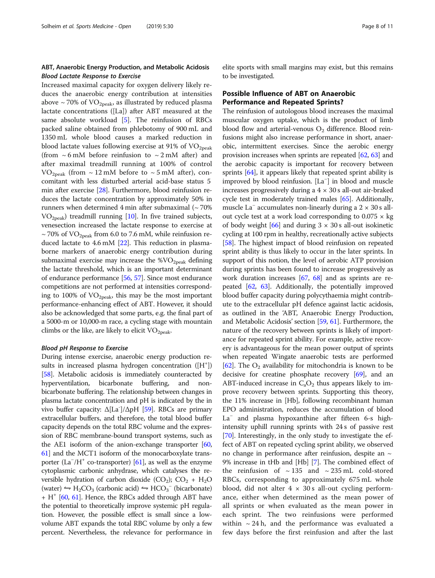# ABT, Anaerobic Energy Production, and Metabolic Acidosis Blood Lactate Response to Exercise

Increased maximal capacity for oxygen delivery likely reduces the anaerobic energy contribution at intensities above  $\sim$  70% of VO<sub>2peak</sub>, as illustrated by reduced plasma lactate concentrations ([La]) after ABT measured at the same absolute workload [[5\]](#page-8-0). The reinfusion of RBCs packed saline obtained from phlebotomy of 900 mL and 1350 mL whole blood causes a marked reduction in blood lactate values following exercise at 91% of  $VO<sub>2peak</sub>$ (from  $\sim$  6 mM before reinfusion to  $\sim$  2 mM after) and after maximal treadmill running at 100% of control  $VO<sub>2peak</sub>$  (from  $\sim$  12 mM before to  $\sim$  5 mM after), concomitant with less disturbed arterial acid-base status 5 min after exercise [\[28\]](#page-9-0). Furthermore, blood reinfusion reduces the lactate concentration by approximately 50% in runners when determined 4 min after submaximal  $($   $\sim$  70%  $VO<sub>2peak</sub>$ ) treadmill running [[10](#page-9-0)]. In five trained subjects, venesection increased the lactate response to exercise at  $\sim$  70% of VO<sub>2peak</sub> from 6.0 to 7.6 mM, while reinfusion reduced lactate to 4.6 mM [\[22\]](#page-9-0). This reduction in plasmaborne markers of anaerobic energy contribution during submaximal exercise may increase the  $\%VO_{2peak}$  defining the lactate threshold, which is an important determinant of endurance performance [\[56,](#page-9-0) [57](#page-9-0)]. Since most endurance competitions are not performed at intensities corresponding to 100% of  $VO<sub>2peak</sub>$ , this may be the most important performance-enhancing effect of ABT. However, it should also be acknowledged that some parts, e.g. the final part of a 5000-m or 10,000-m race, a cycling stage with mountain climbs or the like, are likely to elicit  $\rm VO_{2peak}$ .

#### Blood pH Response to Exercise

During intense exercise, anaerobic energy production results in increased plasma hydrogen concentration ([H<sup>+</sup>]) [[58](#page-9-0)]. Metabolic acidosis is immediately counteracted by hyperventilation, bicarbonate buffering, and nonbicarbonate buffering. The relationship between changes in plasma lactate concentration and pH is indicated by the in vivo buffer capacity:  $\Delta$ [La<sup>-</sup>]/ $\Delta$ pH [[59](#page-10-0)]. RBCs are primary extracellular buffers, and therefore, the total blood buffer capacity depends on the total RBC volume and the expression of RBC membrane-bound transport systems, such as the AE1 isoform of the anion-exchange transporter  $[60, 60]$  $[60, 60]$ [61](#page-10-0)] and the MCT1 isoform of the monocarboxylate trans-porter (La<sup>-</sup>/H<sup>+</sup> co-transporter) [\[61\]](#page-10-0), as well as the enzyme cytoplasmic carbonic anhydrase, which catalyses the reversible hydration of carbon dioxide  $(CO_2)$ ;  $CO_2 + H_2O$  $(water) \leftrightharpoons H_2CO_3$  (carbonic acid)  $\leftrightharpoons HCO_3^-$  (bicarbonate)  $+$  H<sup> $+$ </sup> [[60](#page-10-0), [61](#page-10-0)]. Hence, the RBCs added through ABT have the potential to theoretically improve systemic pH regulation. However, the possible effect is small since a lowvolume ABT expands the total RBC volume by only a few percent. Nevertheless, the relevance for performance in

elite sports with small margins may exist, but this remains to be investigated.

# Possible Influence of ABT on Anaerobic Performance and Repeated Sprints?

The reinfusion of autologous blood increases the maximal muscular oxygen uptake, which is the product of limb blood flow and arterial-venous  $O<sub>2</sub>$  difference. Blood reinfusions might also increase performance in short, anaerobic, intermittent exercises. Since the aerobic energy provision increases when sprints are repeated [[62](#page-10-0), [63\]](#page-10-0) and the aerobic capacity is important for recovery between sprints [\[64\]](#page-10-0), it appears likely that repeated sprint ability is improved by blood reinfusion. [La<sup>−</sup> ] in blood and muscle increases progressively during a  $4 \times 30$  s all-out air-braked cycle test in moderately trained males [[65](#page-10-0)]. Additionally, muscle La<sup> $-$ </sup> accumulates non-linearly during a 2  $\times$  30 s allout cycle test at a work load corresponding to  $0.075 \times$  kg of body weight  $[66]$  $[66]$  $[66]$  and during  $3 \times 30$  s all-out isokinetic cycling at 100 rpm in healthy, recreationally active subjects [[58](#page-9-0)]. The highest impact of blood reinfusion on repeated sprint ability is thus likely to occur in the later sprints. In support of this notion, the level of aerobic ATP provision during sprints has been found to increase progressively as work duration increases [\[67,](#page-10-0) [68](#page-10-0)] and as sprints are repeated [[62](#page-10-0), [63\]](#page-10-0). Additionally, the potentially improved blood buffer capacity during polycythaemia might contribute to the extracellular pH defence against lactic acidosis, as outlined in the 'ABT, Anaerobic Energy Production, and Metabolic Acidosis' section [\[59](#page-10-0), [61\]](#page-10-0). Furthermore, the nature of the recovery between sprints is likely of importance for repeated sprint ability. For example, active recovery is advantageous for the mean power output of sprints when repeated Wingate anaerobic tests are performed [[62](#page-10-0)]. The  $O_2$  availability for mitochondria is known to be decisive for creatine phosphate recovery [\[69\]](#page-10-0), and an ABT-induced increase in  $C_2O_2$  thus appears likely to improve recovery between sprints. Supporting this theory, the 11% increase in [Hb], following recombinant human EPO administration, reduces the accumulation of blood La<sup>−</sup> and plasma hypoxanthine after fifteen 6-s highintensity uphill running sprints with 24 s of passive rest [[70](#page-10-0)]. Interestingly, in the only study to investigate the effect of ABT on repeated cycling sprint ability, we observed no change in performance after reinfusion, despite an  $\sim$ 9% increase in tHb and [Hb] [[7](#page-8-0)]. The combined effect of the reinfusion of  $\sim$  135 and  $\sim$  235 mL cold-stored RBCs, corresponding to approximately 675 mL whole blood, did not alter  $4 \times 30$  s all-out cycling performance, either when determined as the mean power of all sprints or when evaluated as the mean power in each sprint. The two reinfusions were performed within  $\sim$  24 h, and the performance was evaluated a few days before the first reinfusion and after the last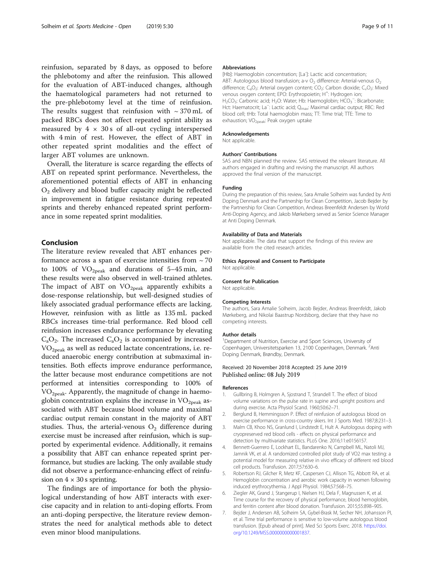<span id="page-8-0"></span>reinfusion, separated by 8 days, as opposed to before the phlebotomy and after the reinfusion. This allowed for the evaluation of ABT-induced changes, although the haematological parameters had not returned to the pre-phlebotomy level at the time of reinfusion. The results suggest that reinfusion with  $\sim$  370 mL of packed RBCs does not affect repeated sprint ability as measured by  $4 \times 30$  s of all-out cycling interspersed with 4 min of rest. However, the effect of ABT in other repeated sprint modalities and the effect of larger ABT volumes are unknown.

Overall, the literature is scarce regarding the effects of ABT on repeated sprint performance. Nevertheless, the aforementioned potential effects of ABT in enhancing  $O<sub>2</sub>$  delivery and blood buffer capacity might be reflected in improvement in fatigue resistance during repeated sprints and thereby enhanced repeated sprint performance in some repeated sprint modalities.

# Conclusion

The literature review revealed that ABT enhances performance across a span of exercise intensities from  $\sim$  70 to 100% of  $VO<sub>2peak</sub>$  and durations of 5–45 min, and these results were also observed in well-trained athletes. The impact of ABT on  $VO_{2peak}$  apparently exhibits a dose-response relationship, but well-designed studies of likely associated gradual performance effects are lacking. However, reinfusion with as little as 135 mL packed RBCs increases time-trial performance. Red blood cell reinfusion increases endurance performance by elevating  $C_aO_2$ . The increased  $C_aO_2$  is accompanied by increased VO2peak as well as reduced lactate concentrations, i.e. reduced anaerobic energy contribution at submaximal intensities. Both effects improve endurance performance, the latter because most endurance competitions are not performed at intensities corresponding to 100% of  $VO<sub>2peak</sub>$ . Apparently, the magnitude of change in haemoglobin concentration explains the increase in  $VO<sub>2peak</sub>$ </sub> associated with ABT because blood volume and maximal cardiac output remain constant in the majority of ABT studies. Thus, the arterial-venous  $O_2$  difference during exercise must be increased after reinfusion, which is supported by experimental evidence. Additionally, it remains a possibility that ABT can enhance repeated sprint performance, but studies are lacking. The only available study did not observe a performance-enhancing effect of reinfusion on  $4 \times 30$  s sprinting.

The findings are of importance for both the physiological understanding of how ABT interacts with exercise capacity and in relation to anti-doping efforts. From an anti-doping perspective, the literature review demonstrates the need for analytical methods able to detect even minor blood manipulations.

#### Abbreviations

[Hb]: Haemoglobin concentration; [La<sup>-</sup>]: Lactic acid concentration ABT: Autologous blood transfusion; a-v  $O<sub>2</sub>$  difference: Arterial-venous  $O<sub>2</sub>$ difference; C<sub>a</sub>O<sub>2</sub>: Arterial oxygen content; CO<sub>2</sub>: Carbon dioxide; C<sub>v</sub>O<sub>2</sub>: Mixed venous oxygen content; EPO: Erythropoietin; H<sup>+</sup>: Hydrogen ion; H<sub>2</sub>CO<sub>3</sub>: Carbonic acid; H<sub>2</sub>O: Water; Hb: Haemoglobin; HCO<sub>3</sub><sup>-</sup>: Bicarbonate; Hct: Haematocrit; La<sup>-</sup>: Lactic acid; Q<sub>max</sub>: Maximal cardiac output; RBC: Red blood cell; tHb: Total haemoglobin mass; TT: Time trial; TTE: Time to exhaustion;  $VO_{2peak}$ : Peak oxygen uptake

#### Acknowledgements

Not applicable.

#### Authors' Contributions

SAS and NBN planned the review. SAS retrieved the relevant literature. All authors engaged in drafting and revising the manuscript. All authors approved the final version of the manuscript.

#### Funding

During the preparation of this review, Sara Amalie Solheim was funded by Anti Doping Denmark and the Partnership for Clean Competition, Jacob Bejder by the Partnership for Clean Competition, Andreas Breenfeldt Andersen by World Anti-Doping Agency, and Jakob Mørkeberg served as Senior Science Manager at Anti Doping Denmark.

#### Availability of Data and Materials

Not applicable. The data that support the findings of this review are available from the cited research articles.

#### Ethics Approval and Consent to Participate

Not applicable.

#### Consent for Publication

Not applicable.

### Competing Interests

The authors, Sara Amalie Solheim, Jacob Bejder, Andreas Breenfeldt, Jakob Mørkeberg, and Nikolai Baastrup Nordsborg, declare that they have no competing interests.

#### Author details

<sup>1</sup>Department of Nutrition, Exercise and Sport Sciences, University of Copenhagen, Universitetsparken 13, 2100 Copenhagen, Denmark. <sup>2</sup>Anti Doping Denmark, Brøndby, Denmark.

# Received: 20 November 2018 Accepted: 25 June 2019 Published online: 08 July 2019

#### References

- 1. Gullbring B, Holmgren A, Sjostrand T, Strandell T. The effect of blood volume variations on the pulse rate in supine and upright positions and during exercise. Acta Physiol Scand. 1960;50:62–71.
- 2. Berglund B, Hemmingsson P. Effect of reinfusion of autologous blood on exercise performance in cross-country skiers. Int J Sports Med. 1987;8:231–3.
- Malm CB, Khoo NS, Granlund I, Lindstedt E, Hult A. Autologous doping with cryopreserved red blood cells - effects on physical performance and detection by multivariate statistics. PLoS One. 2016;11:e0156157.
- 4. Bennett-Guerrero E, Lockhart EL, Bandarenko N, Campbell ML, Natoli MJ, Jamnik VK, et al. A randomized controlled pilot study of VO2 max testing: a potential model for measuring relative in vivo efficacy of different red blood cell products. Transfusion. 2017;57:630–6.
- 5. Robertson RJ, Gilcher R, Metz KF, Caspersen CJ, Allison TG, Abbott RA, et al. Hemoglobin concentration and aerobic work capacity in women following induced erythrocythemia. J Appl Physiol. 1984;57:568–75.
- 6. Ziegler AK, Grand J, Stangerup I, Nielsen HJ, Dela F, Magnussen K, et al. Time course for the recovery of physical performance, blood hemoglobin, and ferritin content after blood donation. Transfusion. 2015;55:898–905.
- 7. Bejder J, Andersen AB, Solheim SA, Gybel-Brask M, Secher NH, Johansson PI, et al. Time trial performance is sensitive to low-volume autologous blood transfusion. [Epub ahead of print]. Med Sci Sports Exerc. 2018. [https://doi.](https://doi.org/10.1249/MSS.0000000000001837) [org/10.1249/MSS.0000000000001837.](https://doi.org/10.1249/MSS.0000000000001837)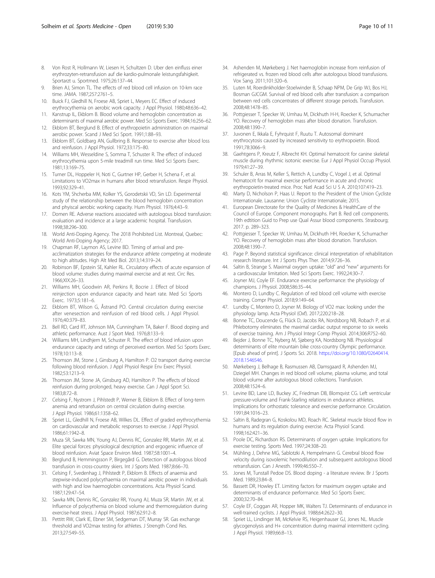- <span id="page-9-0"></span>8. Von Rost R, Hollmann W, Liesen H, Schultzen D. Uber den einfluss einer erythrozyten-retransfusion auf die kardio-pulmonale leistungsfahigkeit. Sportarzt u. Sportmed. 1975;26:137–44.
- Brien AJ, Simon TL. The effects of red blood cell infusion on 10-km race time. JAMA. 1987;257:2761–5.
- 10. Buick FJ, Gledhill N, Froese AB, Spriet L, Meyers EC. Effect of induced erythrocythemia on aerobic work capacity. J Appl Physiol. 1980;48:636–42.
- 11. Kanstrup IL, Ekblom B. Blood volume and hemoglobin concentration as determinants of maximal aerobic power. Med Sci Sports Exerc. 1984;16:256–62.
- 12. Ekblom BT, Berglund B. Effect of erythropoietin administration on maximal aerobic power. Scand J Med Sci Sport. 1991;1:88–93.
- 13. Ekblom BT, Goldbarg AN, Gullbring B. Response to exercise after blood loss and reinfusion. J Appl Physiol. 1972;33:175–80.
- 14. Williams MH, Wesseldine S, Somma T, Schuster R. The effect of induced erythrocythemia upon 5-mile treadmill run time. Med Sci Sports Exerc. 1981;13:169–75.
- 15. Turner DL, Hoppeler H, Noti C, Gurtner HP, Gerber H, Schena F, et al. Limitations to VO2max in humans after blood retransfusion. Respir Physiol. 1993;92:329–41.
- 16. Kots YM, Shcherba MM, Kolker YS, Gorodetskii VD, Sin LD. Experimental study of the relationship between the blood hemoglobin concentration and phyiscal aerobic working capacity. Hum Physiol. 1976;4:43–9.
- 17. Domen RE. Adverse reactions associated with autologous blood transfusion: evaluation and incidence at a large academic hospital. Transfusion. 1998;38:296–300.
- 18. World Anti-Doping Agency. The 2018 Prohibited List. Montreal, Quebec: World Anti-Doping Agency; 2017.
- 19. Chapman RF, Laymon AS, Levine BD. Timing of arrival and preacclimatization strategies for the endurance athlete competing at moderate to high altitudes. High Alt Med Biol. 2013;14:319–24.
- 20. Robinson BF, Epstein SE, Kahler RL. Circulatory effects of acute expansion of blood volume: studies during maximal exercise and at rest. Circ Res. 1966;XIX:26–33.
- 21. Williams MH, Goodwin AR, Perkins R, Bocrie J. Effect of blood reinjection upon endurance capacity and heart rate. Med Sci Sports Exerc. 1973;5:181–6.
- 22. Ekblom BT, Wilson G, Åstrand PO. Central circulation during exercise after venesection and reinfusion of red blood cells. J Appl Physiol. 1976;40:379–83.
- 23. Bell RD, Card RT, Johnson MA, Cunningham TA, Baker F. Blood doping and athletic performance. Aust J Sport Med. 1976;8:133–9.
- 24. Williams MH, Lindhjem M, Schuster R. The effect of blood infusion upon endurance capacity and ratings of perceived exertion. Med Sci Sports Exerc. 1978;10:113–8.
- 25. Thomson JM, Stone J, Ginsburg A, Hamilton P. O2 transport during exercise following blood reinfusion. J Appl Physiol Respir Env Exerc Physiol. 1982;53:1213–9.
- 26. Thomson JM, Stone JA, Ginsburg AD, Hamilton P. The effects of blood reinfusion during prolonged, heavy exercise. Can J Appl Sport Sci. 1983;8:72–8.
- 27. Celsing F, Nystrom J, Pihlstedt P, Werner B, Ekblom B. Effect of long-term anemia and retransfusion on central circulation during exercise. J Appl Physiol. 1986;61:1358–62.
- 28. Spriet LL, Gledhill N, Froese AB, Wilkes DL. Effect of graded erythrocythemia on cardiovascular and metabolic responses to exercise. J Appl Physiol. 1986;61:1942–8.
- 29. Muza SR, Sawka MN, Young AJ, Dennis RC, Gonzalez RR, Martin JW, et al. Elite special forces: physiological description and ergogenic influence of blood reinfusion. Aviat Space Environ Med. 1987;58:1001–4.
- 30. Berglund B, Hemmingsson P, Birgegård G. Detection of autologous blood transfusion in cross-country skiers. Int J Sports Med. 1987;8:66–70.
- 31. Celsing F, Svedenhag J, Pihlstedt P, Ekblom B. Effects of anaemia and stepwise-induced polycythaemia on maximal aerobic power in individuals with high and low haemoglobin concentrations. Acta Physiol Scand. 1987;129:47–54.
- 32. Sawka MN, Dennis RC, Gonzalez RR, Young AJ, Muza SR, Martin JW, et al. Influence of polycythemia on blood volume and thermoregulation during exercise-heat stress. J Appl Physiol. 1987;62:912–8.
- 33. Pettitt RW, Clark IE, Ebner SM, Sedgeman DT, Murray SR. Gas exchange threshold and VO2max testing for athletes. J Strength Cond Res. 2013;27:549–55.
- 34. Ashenden M, Mørkeberg J. Net haemoglobin increase from reinfusion of refrigerated vs. frozen red blood cells after autologous blood transfusions. Vox Sang. 2011;101:320–6.
- 35. Luten M, Roerdinkholder-Stoelwinder B, Schaap NPM, De Grip WJ, Bos HJ, Bosman GJCGM. Survival of red blood cells after transfusion: a comparison between red cells concentrates of different storage periods. Transfusion. 2008;48:1478–85.
- 36. Pottgiesser T, Specker W, Umhau M, Dickhuth H-H, Roecker K, Schumacher YO. Recovery of hemoglobin mass after blood donation. Transfusion. 2008;48:1390–7.
- 37. Juvonen E, Ikkala E, Fyhrquist F, Ruutu T. Autosomal dominant erythrocytosis caused by increased sensitivity to erythropoietin. Blood. 1991;78:3066–9.
- 38. Gaehtgens P, Kreutz F, Albrecht KH. Optimal hematocrit for canine skeletal muscle during rhythmic isotonic exercise. Eur J Appl Physiol Occup Physiol. 1979;41:27–39.
- 39. Schuler B, Arras M, Keller S, Rettich A, Lundby C, Vogel J, et al. Optimal hematocrit for maximal exercise performance in acute and chronic erythropoietin-treated mice. Proc Natl Acad Sci U S A. 2010;107:419–23.
- 40. Marty D, Nicholson P, Haas U. Report to the President of the Union Cycliste Internationale. Lausanne: Union Cycliste Internationale; 2015.
- 41. European Directorate for the Quality of Medicines & HealthCare of the Council of Europe. Component monographs. Part B. Red cell components. 19th edtition Guid to Prep use Qual Assur blood components. Strasbourg; 2017. p. 289–323.
- 42. Pottgiesser T, Specker W, Umhau M, Dickhuth HH, Roecker K, Schumacher YO. Recovery of hemoglobin mass after blood donation. Transfusion. 2008;48:1390–7.
- 43. Page P. Beyond statistical significance: clinical interpretation of rehabilitation research literature. Int J Sports Phys Ther. 2014;9:726–36.
- 44. Saltin B, Strange S. Maximal oxygen uptake: "old" and "new" arguments for a cardiovascular limitation. Med Sci Sports Exerc. 1992;24:30–7.
- 45. Joyner MJ, Coyle EF. Endurance exercise performance: the physiology of champions. J Physiol. 2008;586:35–44.
- 46. Montero D, Lundby C. Regulation of red blood cell volume with exercise training. Compr Physiol. 2018;9:149–64.
- 47. Lundby C, Montero D, Joyner M. Biology of VO2 max: looking under the physiology lamp. Acta Physiol (Oxf). 2017;220:218–28.
- 48. Bonne TC, Doucende G, Flück D, Jacobs RA, Nordsborg NB, Robach P, et al. Phlebotomy eliminates the maximal cardiac output response to six weeks of exercise training. Am J Physiol Integr Comp Physiol. 2014;306:R752–60.
- 49. Bejder J, Bonne TC, Nyberg M, Sjøberg KA, Nordsborg NB. Physiological determinants of elite mountain bike cross-country Olympic performance. [Epub ahead of print]. J Sports Sci. 2018. [https://doi.org/10.1080/02640414.](https://doi.org/10.1080/02640414.2018.1546546) [2018.1546546](https://doi.org/10.1080/02640414.2018.1546546).
- 50. Mørkeberg J, Belhage B, Rasmussen AB, Damsgaard R, Ashenden MJ, Dziegiel MH. Changes in red blood cell volume, plasma volume, and total blood volume after autologous blood collections. Transfusion. 2008;48:1524–6.
- 51. Levine BD, Lane LD, Buckey JC, Friedman DB, Blomqvist CG. Left ventricular pressure-volume and Frank-Starling relations in endurance athletes. Implications for orthostatic tolerance and exercise performance. Circulation. 1991;84:1016–23.
- 52. Saltin B, Radegran G, Koskolou MD, Roach RC. Skeletal muscle blood flow in humans and its regulation during exercise. Acta Physiol Scand. 1998;162:421–36.
- 53. Poole DC, Richardson RS. Determinants of oxygen uptake. Implications for exercise testing. Sports Med. 1997;24:308–20.
- 54. Mühling J, Dehne MG, Sablotzki A, Hempelmann G. Cerebral blood flow velocity during isovolemic hemodilution and subsequent autologous blood retransfusion. Can J Anesth. 1999;46:550–7.
- 55. Jones M, Tunstall Pedoe DS. Blood doping a literature review. Br J Sports Med. 1989;23:84–8.
- 56. Bassett DR, Howley ET. Limiting factors for maximum oxygen uptake and determinants of endurance performance. Med Sci Sports Exerc. 2000;32:70–84.
- 57. Coyle EF, Coggan AR, Hopper MK, Walters TJ. Determinants of endurance in well-trained cyclists. J Appl Physiol. 1988;64:2622–30.
- 58. Spriet LL, Lindinger MI, McKelvie RS, Heigenhauser GJ, Jones NL. Muscle glycogenolysis and H+ concentration during maximal intermittent cycling. J Appl Physiol. 1989;66:8–13.